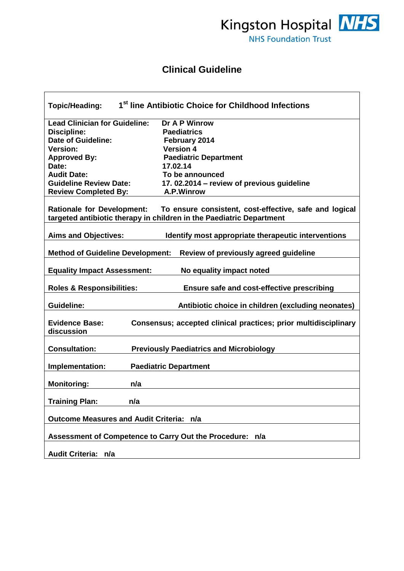

## **Clinical Guideline**

| 1 <sup>st</sup> line Antibiotic Choice for Childhood Infections<br><b>Topic/Heading:</b>                                                                  |                                                     |  |  |
|-----------------------------------------------------------------------------------------------------------------------------------------------------------|-----------------------------------------------------|--|--|
| <b>Lead Clinician for Guideline:</b>                                                                                                                      | Dr A P Winrow                                       |  |  |
| <b>Discipline:</b>                                                                                                                                        | <b>Paediatrics</b>                                  |  |  |
| <b>Date of Guideline:</b>                                                                                                                                 | February 2014                                       |  |  |
| <b>Version:</b>                                                                                                                                           | <b>Version 4</b>                                    |  |  |
| <b>Approved By:</b>                                                                                                                                       | <b>Paediatric Department</b>                        |  |  |
| Date:                                                                                                                                                     | 17.02.14                                            |  |  |
| <b>Audit Date:</b>                                                                                                                                        | To be announced                                     |  |  |
| <b>Guideline Review Date:</b>                                                                                                                             | 17.02.2014 - review of previous guideline           |  |  |
| <b>Review Completed By:</b>                                                                                                                               | A.P.Winrow                                          |  |  |
| Rationale for Development: To ensure consistent, cost-effective, safe and logical<br>targeted antibiotic therapy in children in the Paediatric Department |                                                     |  |  |
| <b>Aims and Objectives:</b>                                                                                                                               | Identify most appropriate therapeutic interventions |  |  |
| <b>Method of Guideline Development:</b><br>Review of previously agreed guideline                                                                          |                                                     |  |  |
| <b>Equality Impact Assessment:</b><br>No equality impact noted                                                                                            |                                                     |  |  |
| <b>Roles &amp; Responsibilities:</b><br>Ensure safe and cost-effective prescribing                                                                        |                                                     |  |  |
| <b>Guideline:</b>                                                                                                                                         | Antibiotic choice in children (excluding neonates)  |  |  |
| <b>Evidence Base:</b><br>Consensus; accepted clinical practices; prior multidisciplinary<br>discussion                                                    |                                                     |  |  |
| <b>Consultation:</b><br><b>Previously Paediatrics and Microbiology</b>                                                                                    |                                                     |  |  |
| Implementation:<br><b>Paediatric Department</b>                                                                                                           |                                                     |  |  |
| <b>Monitoring:</b><br>n/a                                                                                                                                 |                                                     |  |  |
| <b>Training Plan:</b><br>n/a                                                                                                                              |                                                     |  |  |
| <b>Outcome Measures and Audit Criteria: n/a</b>                                                                                                           |                                                     |  |  |
| Assessment of Competence to Carry Out the Procedure: n/a                                                                                                  |                                                     |  |  |
| Audit Criteria: n/a                                                                                                                                       |                                                     |  |  |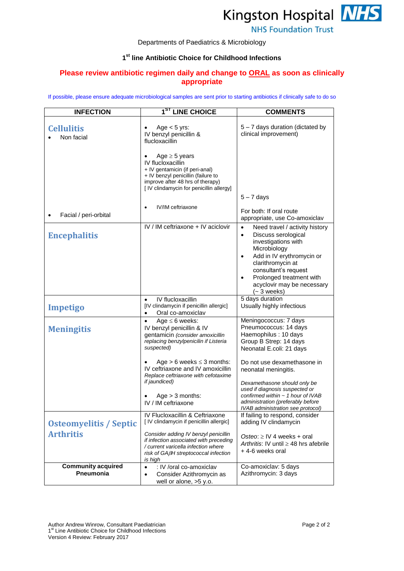

## Departments of Paediatrics & Microbiology

## **1 st line Antibiotic Choice for Childhood Infections**

## **Please review antibiotic regimen daily and change to ORAL as soon as clinically appropriate**

If possible, please ensure adequate microbiological samples are sent prior to starting antibiotics if clinically safe to do so

| <b>INFECTION</b>                       | 1 <sup>ST</sup> LINE CHOICE                                                                                                                                                                            | <b>COMMENTS</b>                                                                                                                                                                                                                                                            |
|----------------------------------------|--------------------------------------------------------------------------------------------------------------------------------------------------------------------------------------------------------|----------------------------------------------------------------------------------------------------------------------------------------------------------------------------------------------------------------------------------------------------------------------------|
| <b>Cellulitis</b><br>Non facial        | Age $<$ 5 yrs:<br>IV benzyl penicillin &<br>flucloxacillin                                                                                                                                             | 5 - 7 days duration (dictated by<br>clinical improvement)                                                                                                                                                                                                                  |
|                                        | Age $\geq$ 5 years<br><b>IV flucloxacillin</b><br>+ IV gentamicin (if peri-anal)<br>+ IV benzyl penicillin (failure to<br>improve after 48 hrs of therapy)<br>[ IV clindamycin for penicillin allergy] | $5 - 7$ days                                                                                                                                                                                                                                                               |
| Facial / peri-orbital                  | IV/IM ceftriaxone<br>$\bullet$                                                                                                                                                                         | For both: If oral route<br>appropriate, use Co-amoxiclav                                                                                                                                                                                                                   |
| <b>Encephalitis</b>                    | IV / IM ceftriaxone + IV aciclovir                                                                                                                                                                     | Need travel / activity history<br>$\bullet$<br>Discuss serological<br>$\bullet$<br>investigations with<br>Microbiology<br>Add in IV erythromycin or<br>clarithromycin at<br>consultant's request<br>Prolonged treatment with<br>acyclovir may be necessary<br>$(-3$ weeks) |
| <b>Impetigo</b>                        | IV flucloxacillin<br>$\bullet$<br>[IV clindamycin if penicillin allergic]<br>Oral co-amoxiclav                                                                                                         | 5 days duration<br>Usually highly infectious                                                                                                                                                                                                                               |
| <b>Meningitis</b>                      | Age $\leq 6$ weeks:<br>$\bullet$<br>IV benzyl penicillin & IV<br>gentamicin (consider amoxicillin<br>replacing benzylpenicilin if Listeria<br>suspected)                                               | Meningococcus: 7 days<br>Pneumococcus: 14 days<br>Haemophilus: 10 days<br>Group B Strep: 14 days<br>Neonatal E.coli: 21 days                                                                                                                                               |
|                                        | Age $> 6$ weeks $\leq 3$ months:<br>IV ceftriaxone and IV amoxicillin<br>Replace ceftriaxone with cefotaxime<br>if jaundiced)<br>$Age > 3$ months:<br>IV / IM ceftriaxone                              | Do not use dexamethasone in<br>neonatal meningitis.<br>Dexamethasone should only be<br>used if diagnosis suspected or<br>confirmed within $\sim$ 1 hour of IVAB<br>administration (preferably before<br>IVAB administration see protocol)                                  |
| <b>Osteomyelitis / Septic</b>          | IV Flucloxacillin & Ceftriaxone<br>[ IV clindamycin if penicillin allergic]                                                                                                                            | If failing to respond, consider<br>adding IV clindamycin                                                                                                                                                                                                                   |
| <b>Arthritis</b>                       | Consider adding IV benzyl penicillin<br>if infection associated with preceding<br>/ current varicella infection where<br>risk of GAßH streptococcal infection<br>is high                               | Osteo: $\geq$ IV 4 weeks + oral<br>Arthritis: IV until $\geq$ 48 hrs afebrile<br>+4-6 weeks oral                                                                                                                                                                           |
| <b>Community acquired</b><br>Pneumonia | : IV /oral co-amoxiclav<br>$\bullet$<br>Consider Azithromycin as<br>$\bullet$<br>well or alone, >5 y.o.                                                                                                | Co-amoxiclav: 5 days<br>Azithromycin: 3 days                                                                                                                                                                                                                               |